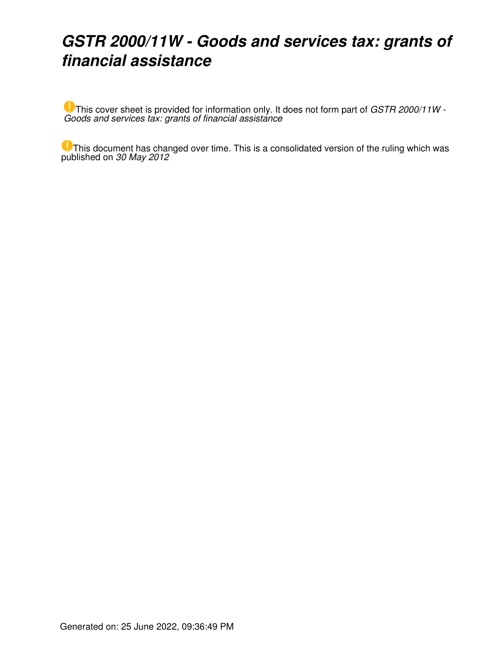### *GSTR 2000/11W - Goods and services tax: grants of financial assistance*

This cover sheet is provided for information only. It does not form part of *GSTR 2000/11W - Goods and services tax: grants of financial assistance*

**U** This document has changed over time. This is a consolidated version of the ruling which was published on *30 May 2012*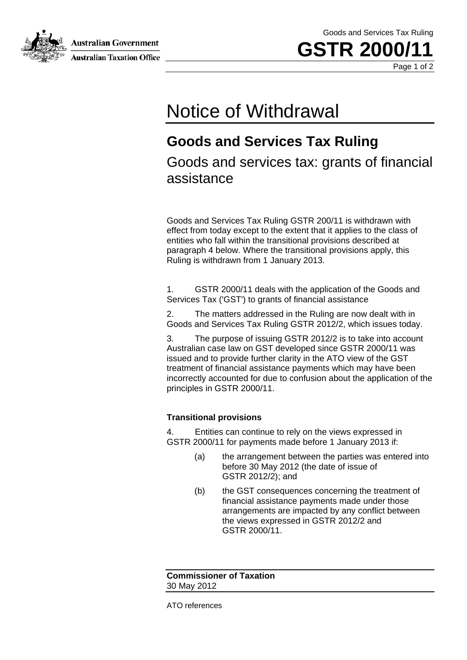Australian Government **Australian Taxation Office**  Goods and Services Tax Ruling



Page 1 of 2

## Notice of Withdrawal

#### **Goods and Services Tax Ruling**

Goods and services tax: grants of financial assistance

Goods and Services Tax Ruling GSTR 200/11 is withdrawn with effect from today except to the extent that it applies to the class of entities who fall within the transitional provisions described at paragraph 4 below. Where the transitional provisions apply, this Ruling is withdrawn from 1 January 2013.

1. GSTR 2000/11 deals with the application of the Goods and Services Tax ('GST') to grants of financial assistance

2. The matters addressed in the Ruling are now dealt with in Goods and Services Tax Ruling GSTR 2012/2, which issues today.

3. The purpose of issuing GSTR 2012/2 is to take into account Australian case law on GST developed since GSTR 2000/11 was issued and to provide further clarity in the ATO view of the GST treatment of financial assistance payments which may have been incorrectly accounted for due to confusion about the application of the principles in GSTR 2000/11.

#### **Transitional provisions**

4. Entities can continue to rely on the views expressed in GSTR 2000/11 for payments made before 1 January 2013 if:

- (a) the arrangement between the parties was entered into before 30 May 2012 (the date of issue of GSTR 2012/2); and
- (b) the GST consequences concerning the treatment of financial assistance payments made under those arrangements are impacted by any conflict between the views expressed in GSTR 2012/2 and GSTR 2000/11.

**Commissioner of Taxation** 30 May 2012

ATO references